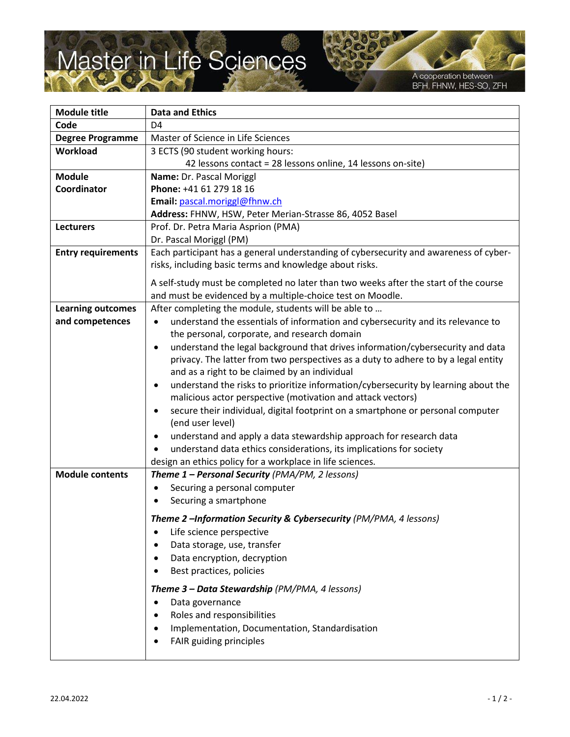## Master in Life Sciences

A cooperation between BFH, FHNW, HES-SO, ZFH

| <b>Module title</b>       | <b>Data and Ethics</b>                                                                          |
|---------------------------|-------------------------------------------------------------------------------------------------|
| Code                      | D <sub>4</sub>                                                                                  |
| <b>Degree Programme</b>   | Master of Science in Life Sciences                                                              |
| Workload                  | 3 ECTS (90 student working hours:                                                               |
|                           | 42 lessons contact = 28 lessons online, 14 lessons on-site)                                     |
| <b>Module</b>             | Name: Dr. Pascal Moriggl                                                                        |
| Coordinator               | Phone: +41 61 279 18 16                                                                         |
|                           | Email: pascal.moriggl@fhnw.ch                                                                   |
|                           | Address: FHNW, HSW, Peter Merian-Strasse 86, 4052 Basel                                         |
| <b>Lecturers</b>          | Prof. Dr. Petra Maria Asprion (PMA)                                                             |
|                           | Dr. Pascal Moriggl (PM)                                                                         |
| <b>Entry requirements</b> | Each participant has a general understanding of cybersecurity and awareness of cyber-           |
|                           | risks, including basic terms and knowledge about risks.                                         |
|                           | A self-study must be completed no later than two weeks after the start of the course            |
|                           | and must be evidenced by a multiple-choice test on Moodle.                                      |
| <b>Learning outcomes</b>  | After completing the module, students will be able to                                           |
| and competences           | understand the essentials of information and cybersecurity and its relevance to                 |
|                           | the personal, corporate, and research domain                                                    |
|                           | understand the legal background that drives information/cybersecurity and data                  |
|                           | privacy. The latter from two perspectives as a duty to adhere to by a legal entity              |
|                           | and as a right to be claimed by an individual                                                   |
|                           | understand the risks to prioritize information/cybersecurity by learning about the<br>$\bullet$ |
|                           | malicious actor perspective (motivation and attack vectors)                                     |
|                           | secure their individual, digital footprint on a smartphone or personal computer                 |
|                           | (end user level)                                                                                |
|                           | understand and apply a data stewardship approach for research data                              |
|                           | understand data ethics considerations, its implications for society                             |
|                           | design an ethics policy for a workplace in life sciences.                                       |
| <b>Module contents</b>    | Theme 1 - Personal Security (PMA/PM, 2 lessons)                                                 |
|                           | Securing a personal computer<br>٠                                                               |
|                           | Securing a smartphone                                                                           |
|                           | Theme 2 -Information Security & Cybersecurity (PM/PMA, 4 lessons)                               |
|                           | Life science perspective<br>$\bullet$                                                           |
|                           | Data storage, use, transfer                                                                     |
|                           | Data encryption, decryption                                                                     |
|                           | Best practices, policies                                                                        |
|                           |                                                                                                 |
|                           | Theme 3 - Data Stewardship (PM/PMA, 4 lessons)                                                  |
|                           | Data governance                                                                                 |
|                           | Roles and responsibilities                                                                      |
|                           | Implementation, Documentation, Standardisation                                                  |
|                           | FAIR guiding principles                                                                         |